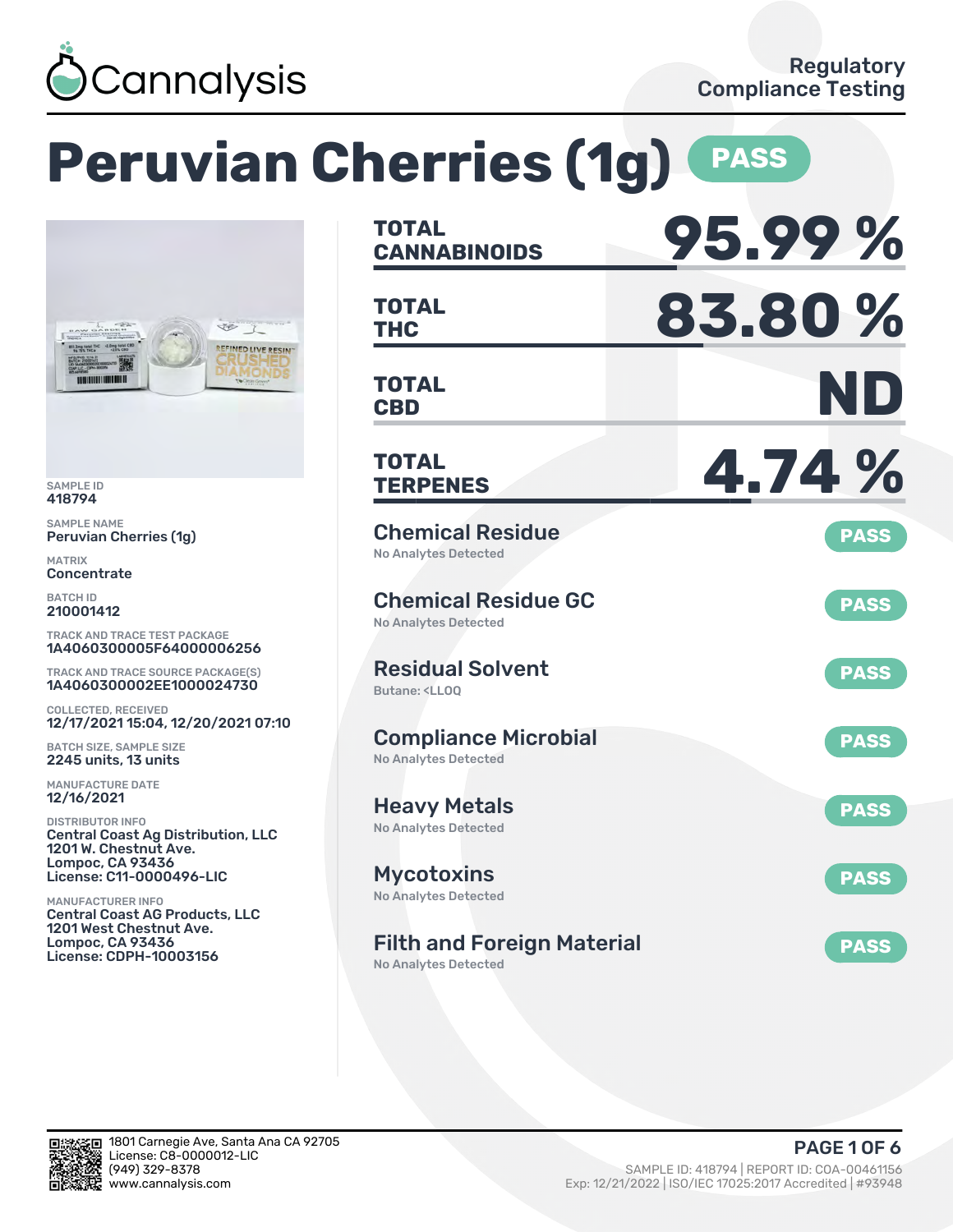

### **Peruvian Cherries (1g) PASS CANNABINOIDS 95.99 % TOTAL THC 83.80 % TOTAL** Je REFINED LIVE RESIN **CBD ND TOTAL TERPENES 4.74 % TOTAL** Chemical Residue Peruvian Cherries (1g) **PASS** No Analytes Detected Chemical Residue GC **PASS** No Analytes Detected TRACK AND TRACE TEST PACKAGE 1A4060300005F64000006256 Residual Solvent TRACK AND TRACE SOURCE PACKAGE(S) **PASS** 1A4060300002EE1000024730 Butane: <LLOQ 12/17/2021 15:04, 12/20/2021 07:10 Compliance Microbial **PASS** BATCH SIZE, SAMPLE SIZE No Analytes Detected Heavy Metals **PASS** No Analytes Detected Central Coast Ag Distribution, LLC 1201 W. Chestnut Ave. License: C11-0000496-LIC Mycotoxins **PASS** No Analytes Detected Central Coast AG Products, LLC 1201 West Chestnut Ave. Filth and Foreign Material **PASS** License: CDPH-10003156

No Analytes Detected



SAMPLE ID 418794 SAMPLE NAME

*<u>ANGLES AND ANGLES AND ARTISTS AND RESIDENTS.</u>* 

MATRIX **Concentrate** BATCH ID 210001412

COLLECTED, RECEIVED

2245 units, 13 units MANUFACTURE DATE 12/16/2021 DISTRIBUTOR INFO

Lompoc, CA 93436

MANUFACTURER INFO

Lompoc, CA 93436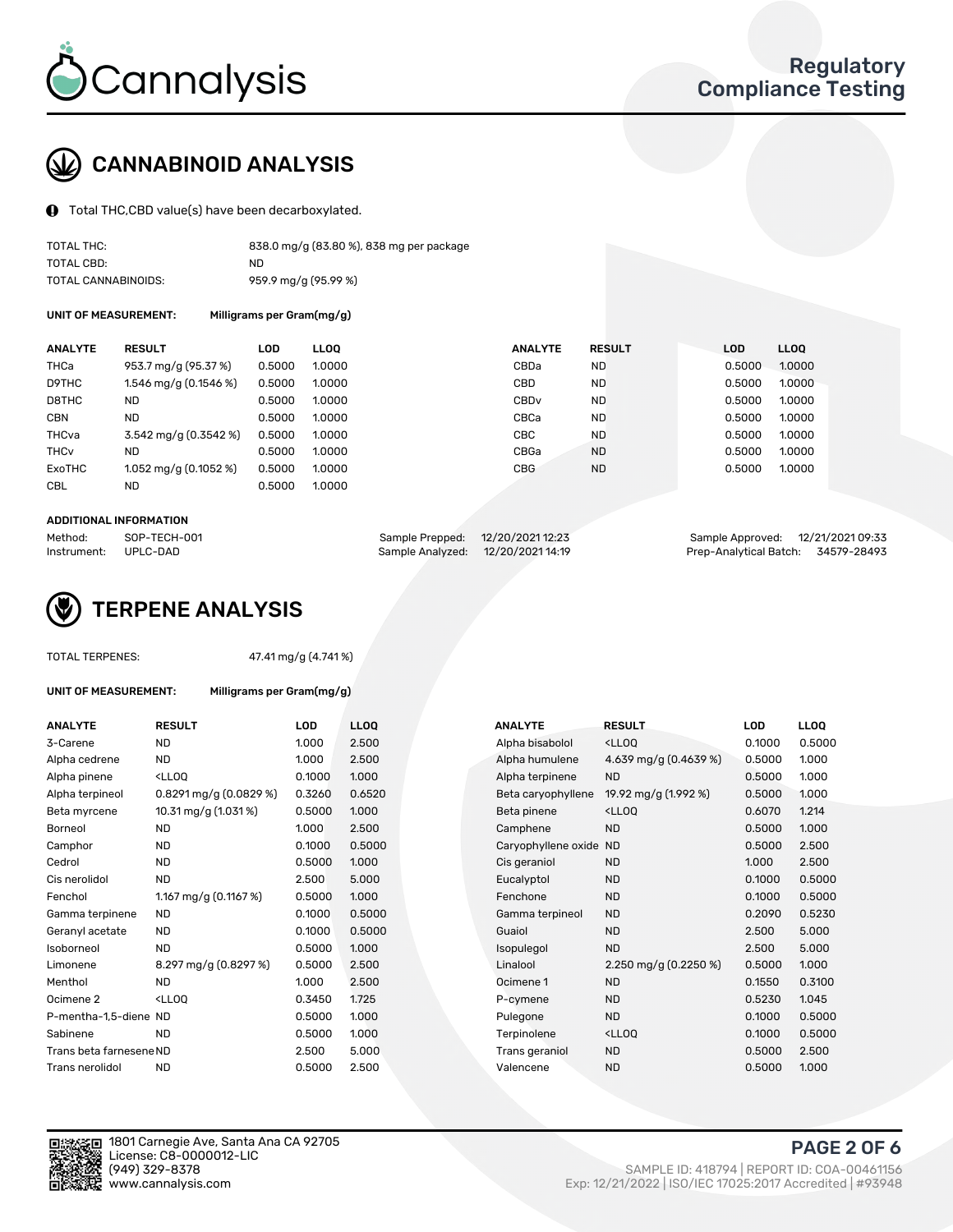

## CANNABINOID ANALYSIS

Total THC,CBD value(s) have been decarboxylated.

| TOTAL THC:          | 838.0 mg/g (83.80 %), 838 mg per package |
|---------------------|------------------------------------------|
| TOTAL CBD:          | ND.                                      |
| TOTAL CANNABINOIDS: | 959.9 mg/g (95.99 %)                     |

UNIT OF MEASUREMENT: Milligrams per Gram(mg/g)

| <b>ANALYTE</b>         | <b>RESULT</b>                       | <b>LOD</b> | <b>LLOO</b> | <b>ANALYTE</b>   | <b>RESULT</b> | <b>LOD</b> | <b>LLOO</b> |
|------------------------|-------------------------------------|------------|-------------|------------------|---------------|------------|-------------|
| THCa                   | 953.7 mg/g (95.37 %)                | 0.5000     | 1.0000      | CBDa             | <b>ND</b>     | 0.5000     | 1.0000      |
| D9THC                  | 1.546 mg/g (0.1546 %)               | 0.5000     | 1.0000      | CBD              | <b>ND</b>     | 0.5000     | 1.0000      |
| D8THC                  | <b>ND</b>                           | 0.5000     | 1.0000      | CBD <sub>v</sub> | <b>ND</b>     | 0.5000     | 1.0000      |
| <b>CBN</b>             | <b>ND</b>                           | 0.5000     | 1.0000      | CBCa             | <b>ND</b>     | 0.5000     | 1.0000      |
| THCva                  | $3.542 \,\mathrm{mq/q}$ (0.3542 %)  | 0.5000     | 1.0000      | CBC              | <b>ND</b>     | 0.5000     | 1.0000      |
| <b>THC<sub>v</sub></b> | <b>ND</b>                           | 0.5000     | 1.0000      | CBGa             | <b>ND</b>     | 0.5000     | 1.0000      |
| ExoTHC                 | $1.052 \,\mathrm{mag/g}$ (0.1052 %) | 0.5000     | 1.0000      | <b>CBG</b>       | <b>ND</b>     | 0.5000     | 1.0000      |
| <b>CBL</b>             | <b>ND</b>                           | 0.5000     | 1.0000      |                  |               |            |             |
|                        |                                     |            |             |                  |               |            |             |

#### ADDITIONAL INFORMATION

| Method:              | SOP-TECH-001 | Sample Prepped: 12/20/2021 12:23  | Sample Approved: 12/21/2021 09:33  |  |
|----------------------|--------------|-----------------------------------|------------------------------------|--|
| Instrument: UPLC-DAD |              | Sample Analyzed: 12/20/2021 14:19 | Prep-Analytical Batch: 34579-28493 |  |



### TOTAL TERPENES: 47.41 mg/g (4.741 %)

| <b>ANALYTE</b>  | <b>RESULT</b>                                                                                                             | LOD    | <b>LLOO</b> | <b>ANALYTE</b>         | <b>RESULT</b>                                      | <b>LOD</b> | <b>LLOO</b> |
|-----------------|---------------------------------------------------------------------------------------------------------------------------|--------|-------------|------------------------|----------------------------------------------------|------------|-------------|
| 3-Carene        | <b>ND</b>                                                                                                                 | 1.000  | 2.500       | Alpha bisabolol        | <ll0q< td=""><td>0.1000</td><td>0.50</td></ll0q<>  | 0.1000     | 0.50        |
| Alpha cedrene   | <b>ND</b>                                                                                                                 | 1.000  | 2.500       | Alpha humulene         | 4.639 mg/g (0.4639 %)                              | 0.5000     | 1.00C       |
| Alpha pinene    | <lloo< td=""><td>0.1000</td><td>1.000</td><td>Alpha terpinene</td><td><b>ND</b></td><td>0.5000</td><td>1.00C</td></lloo<> | 0.1000 | 1.000       | Alpha terpinene        | <b>ND</b>                                          | 0.5000     | 1.00C       |
| Alpha terpineol | $0.8291$ mg/g (0.0829 %)                                                                                                  | 0.3260 | 0.6520      | Beta caryophyllene     | 19.92 mg/g (1.992 %)                               | 0.5000     | 1.000       |
| Beta myrcene    | 10.31 mg/g (1.031 %)                                                                                                      | 0.5000 | 1.000       | Beta pinene            | <lloq< td=""><td>0.6070</td><td>1.214</td></lloq<> | 0.6070     | 1.214       |
| Borneol         | ND                                                                                                                        | 1.000  | 2.500       | Camphene               | <b>ND</b>                                          | 0.5000     | 1.00C       |
| Camphor         | <b>ND</b>                                                                                                                 | 0.1000 | 0.5000      | Caryophyllene oxide ND |                                                    | 0.5000     | 2.500       |
|                 |                                                                                                                           |        |             |                        |                                                    |            |             |

UNIT OF MEASUREMENT: Milligrams per Gram(mg/g)

| ANALYTE                 | <b>RESULT</b>                                                                                                             | LOD    | <b>LLOQ</b> | <b>ANALYTE</b>         | RESULT                                              | <b>LOD</b> | <b>LLOQ</b> |
|-------------------------|---------------------------------------------------------------------------------------------------------------------------|--------|-------------|------------------------|-----------------------------------------------------|------------|-------------|
| 3-Carene                | ND.                                                                                                                       | 1.000  | 2.500       | Alpha bisabolol        | <lloq< td=""><td>0.1000</td><td>0.5000</td></lloq<> | 0.1000     | 0.5000      |
| Alpha cedrene           | <b>ND</b>                                                                                                                 | 1.000  | 2.500       | Alpha humulene         | 4.639 mg/g $(0.4639\%)$                             | 0.5000     | 1.000       |
| Alpha pinene            | <ll0q< td=""><td>0.1000</td><td>1.000</td><td>Alpha terpinene</td><td><b>ND</b></td><td>0.5000</td><td>1.000</td></ll0q<> | 0.1000 | 1.000       | Alpha terpinene        | <b>ND</b>                                           | 0.5000     | 1.000       |
| Alpha terpineol         | $0.8291$ mg/g $(0.0829\%)$                                                                                                | 0.3260 | 0.6520      | Beta caryophyllene     | 19.92 mg/g (1.992 %)                                | 0.5000     | 1.000       |
| Beta myrcene            | 10.31 mg/g (1.031 %)                                                                                                      | 0.5000 | 1.000       | Beta pinene            | <lloq< td=""><td>0.6070</td><td>1.214</td></lloq<>  | 0.6070     | 1.214       |
| Borneol                 | ND.                                                                                                                       | 1.000  | 2.500       | Camphene               | <b>ND</b>                                           | 0.5000     | 1.000       |
| Camphor                 | <b>ND</b>                                                                                                                 | 0.1000 | 0.5000      | Caryophyllene oxide ND |                                                     | 0.5000     | 2.500       |
| Cedrol                  | <b>ND</b>                                                                                                                 | 0.5000 | 1.000       | Cis geraniol           | <b>ND</b>                                           | 1.000      | 2.500       |
| Cis nerolidol           | <b>ND</b>                                                                                                                 | 2.500  | 5.000       | Eucalyptol             | <b>ND</b>                                           | 0.1000     | 0.5000      |
| Fenchol                 | 1.167 mg/g $(0.1167%)$                                                                                                    | 0.5000 | 1.000       | Fenchone               | <b>ND</b>                                           | 0.1000     | 0.5000      |
| Gamma terpinene         | ND                                                                                                                        | 0.1000 | 0.5000      | Gamma terpineol        | <b>ND</b>                                           | 0.2090     | 0.5230      |
| Geranyl acetate         | ND.                                                                                                                       | 0.1000 | 0.5000      | Guaiol                 | <b>ND</b>                                           | 2.500      | 5.000       |
| Isoborneol              | <b>ND</b>                                                                                                                 | 0.5000 | 1.000       | Isopulegol             | <b>ND</b>                                           | 2.500      | 5.000       |
| Limonene                | 8.297 mg/g (0.8297 %)                                                                                                     | 0.5000 | 2.500       | Linalool               | 2.250 mg/g $(0.2250\%)$                             | 0.5000     | 1.000       |
| Menthol                 | <b>ND</b>                                                                                                                 | 1.000  | 2.500       | Ocimene 1              | <b>ND</b>                                           | 0.1550     | 0.3100      |
| Ocimene 2               | <lloq< td=""><td>0.3450</td><td>1.725</td><td>P-cymene</td><td><b>ND</b></td><td>0.5230</td><td>1.045</td></lloq<>        | 0.3450 | 1.725       | P-cymene               | <b>ND</b>                                           | 0.5230     | 1.045       |
| P-mentha-1,5-diene ND   |                                                                                                                           | 0.5000 | 1.000       | Pulegone               | <b>ND</b>                                           | 0.1000     | 0.5000      |
| Sabinene                | <b>ND</b>                                                                                                                 | 0.5000 | 1.000       | Terpinolene            | <lloq< td=""><td>0.1000</td><td>0.5000</td></lloq<> | 0.1000     | 0.5000      |
| Trans beta farnesene ND |                                                                                                                           | 2.500  | 5.000       | Trans geraniol         | <b>ND</b>                                           | 0.5000     | 2.500       |
| Trans nerolidol         | <b>ND</b>                                                                                                                 | 0.5000 | 2.500       | Valencene              | <b>ND</b>                                           | 0.5000     | 1.000       |



1801 Carnegie Ave, Santa Ana CA 92705 License: C8-0000012-LIC<br>(949) 329-8378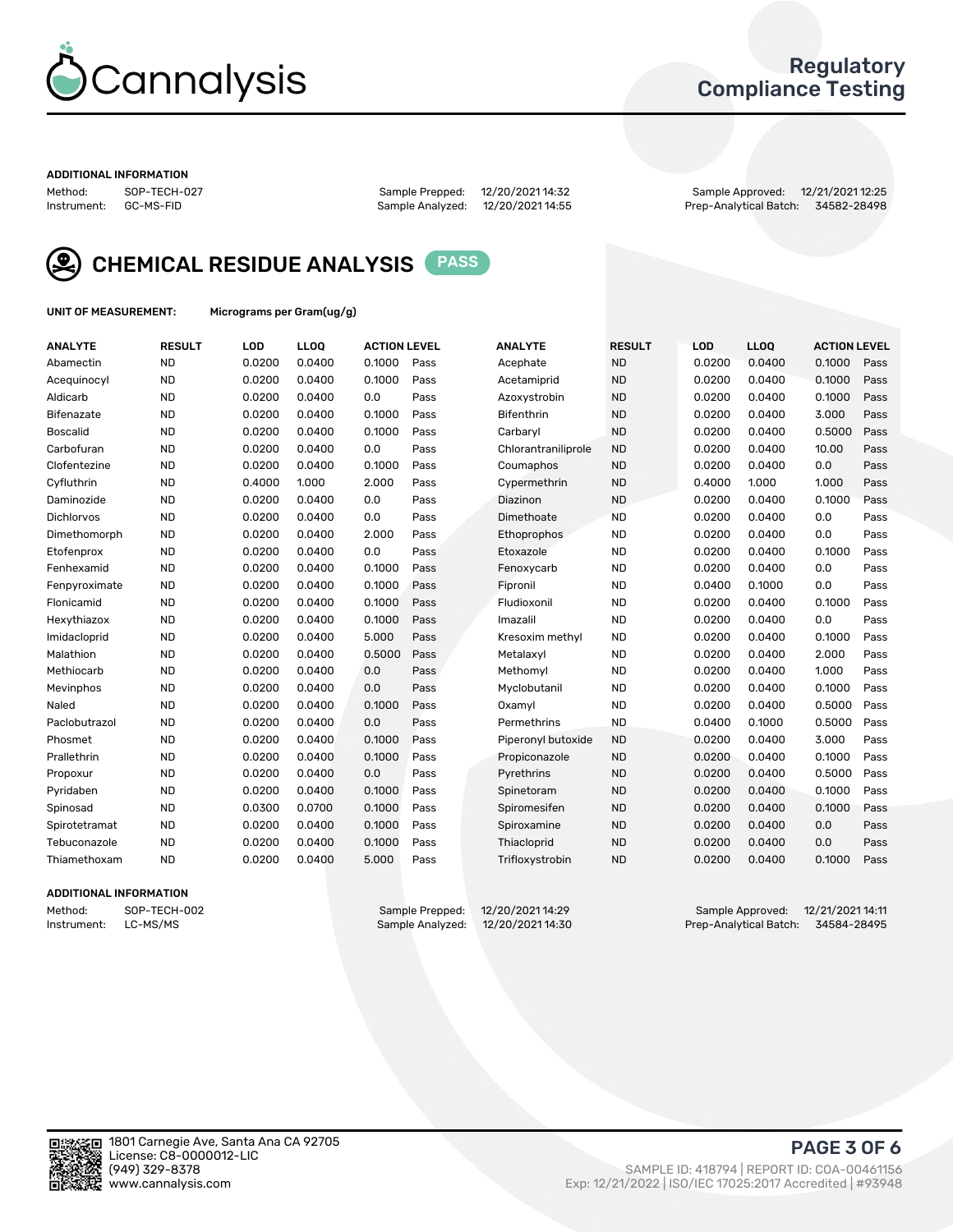

### Regulatory Compliance Testing

#### ADDITIONAL INFORMATION

Method: SOP-TECH-027 Sample Prepped: 12/20/2021 14:32 Sample Approved: 12/21/2021 12:25

Prep-Analytical Batch: 34582-28498



CHEMICAL RESIDUE ANALYSIS PASS

UNIT OF MEASUREMENT: Micrograms per Gram(ug/g)

| <b>ANALYTE</b>  | <b>RESULT</b> | LOD    | LLOQ   | <b>ACTION LEVEL</b> |      | <b>ANALYTE</b>      | <b>RESULT</b> | LOD    | LLOQ   | <b>ACTION LEVEL</b> |      |
|-----------------|---------------|--------|--------|---------------------|------|---------------------|---------------|--------|--------|---------------------|------|
| Abamectin       | <b>ND</b>     | 0.0200 | 0.0400 | 0.1000              | Pass | Acephate            | <b>ND</b>     | 0.0200 | 0.0400 | 0.1000              | Pass |
| Acequinocyl     | <b>ND</b>     | 0.0200 | 0.0400 | 0.1000              | Pass | Acetamiprid         | <b>ND</b>     | 0.0200 | 0.0400 | 0.1000              | Pass |
| Aldicarb        | <b>ND</b>     | 0.0200 | 0.0400 | 0.0                 | Pass | Azoxystrobin        | <b>ND</b>     | 0.0200 | 0.0400 | 0.1000              | Pass |
| Bifenazate      | <b>ND</b>     | 0.0200 | 0.0400 | 0.1000              | Pass | Bifenthrin          | <b>ND</b>     | 0.0200 | 0.0400 | 3.000               | Pass |
| <b>Boscalid</b> | <b>ND</b>     | 0.0200 | 0.0400 | 0.1000              | Pass | Carbaryl            | <b>ND</b>     | 0.0200 | 0.0400 | 0.5000              | Pass |
| Carbofuran      | <b>ND</b>     | 0.0200 | 0.0400 | 0.0                 | Pass | Chlorantraniliprole | <b>ND</b>     | 0.0200 | 0.0400 | 10.00               | Pass |
| Clofentezine    | <b>ND</b>     | 0.0200 | 0.0400 | 0.1000              | Pass | Coumaphos           | <b>ND</b>     | 0.0200 | 0.0400 | 0.0                 | Pass |
| Cyfluthrin      | <b>ND</b>     | 0.4000 | 1.000  | 2.000               | Pass | Cypermethrin        | <b>ND</b>     | 0.4000 | 1.000  | 1.000               | Pass |
| Daminozide      | <b>ND</b>     | 0.0200 | 0.0400 | 0.0                 | Pass | Diazinon            | <b>ND</b>     | 0.0200 | 0.0400 | 0.1000              | Pass |
| Dichlorvos      | <b>ND</b>     | 0.0200 | 0.0400 | 0.0                 | Pass | Dimethoate          | <b>ND</b>     | 0.0200 | 0.0400 | 0.0                 | Pass |
| Dimethomorph    | <b>ND</b>     | 0.0200 | 0.0400 | 2.000               | Pass | <b>Ethoprophos</b>  | <b>ND</b>     | 0.0200 | 0.0400 | 0.0                 | Pass |
| Etofenprox      | <b>ND</b>     | 0.0200 | 0.0400 | 0.0                 | Pass | Etoxazole           | <b>ND</b>     | 0.0200 | 0.0400 | 0.1000              | Pass |
| Fenhexamid      | <b>ND</b>     | 0.0200 | 0.0400 | 0.1000              | Pass | Fenoxycarb          | <b>ND</b>     | 0.0200 | 0.0400 | 0.0                 | Pass |
| Fenpyroximate   | <b>ND</b>     | 0.0200 | 0.0400 | 0.1000              | Pass | Fipronil            | <b>ND</b>     | 0.0400 | 0.1000 | 0.0                 | Pass |
| Flonicamid      | <b>ND</b>     | 0.0200 | 0.0400 | 0.1000              | Pass | Fludioxonil         | <b>ND</b>     | 0.0200 | 0.0400 | 0.1000              | Pass |
| Hexythiazox     | <b>ND</b>     | 0.0200 | 0.0400 | 0.1000              | Pass | Imazalil            | <b>ND</b>     | 0.0200 | 0.0400 | 0.0                 | Pass |
| Imidacloprid    | <b>ND</b>     | 0.0200 | 0.0400 | 5.000               | Pass | Kresoxim methyl     | <b>ND</b>     | 0.0200 | 0.0400 | 0.1000              | Pass |
| Malathion       | <b>ND</b>     | 0.0200 | 0.0400 | 0.5000              | Pass | Metalaxyl           | <b>ND</b>     | 0.0200 | 0.0400 | 2.000               | Pass |
| Methiocarb      | <b>ND</b>     | 0.0200 | 0.0400 | 0.0                 | Pass | Methomyl            | <b>ND</b>     | 0.0200 | 0.0400 | 1.000               | Pass |
| Mevinphos       | <b>ND</b>     | 0.0200 | 0.0400 | 0.0                 | Pass | Myclobutanil        | <b>ND</b>     | 0.0200 | 0.0400 | 0.1000              | Pass |
| Naled           | <b>ND</b>     | 0.0200 | 0.0400 | 0.1000              | Pass | Oxamyl              | <b>ND</b>     | 0.0200 | 0.0400 | 0.5000              | Pass |
| Paclobutrazol   | <b>ND</b>     | 0.0200 | 0.0400 | 0.0                 | Pass | Permethrins         | <b>ND</b>     | 0.0400 | 0.1000 | 0.5000              | Pass |
| Phosmet         | <b>ND</b>     | 0.0200 | 0.0400 | 0.1000              | Pass | Piperonyl butoxide  | <b>ND</b>     | 0.0200 | 0.0400 | 3.000               | Pass |
| Prallethrin     | <b>ND</b>     | 0.0200 | 0.0400 | 0.1000              | Pass | Propiconazole       | <b>ND</b>     | 0.0200 | 0.0400 | 0.1000              | Pass |
| Propoxur        | <b>ND</b>     | 0.0200 | 0.0400 | 0.0                 | Pass | Pyrethrins          | <b>ND</b>     | 0.0200 | 0.0400 | 0.5000              | Pass |
| Pyridaben       | <b>ND</b>     | 0.0200 | 0.0400 | 0.1000              | Pass | Spinetoram          | <b>ND</b>     | 0.0200 | 0.0400 | 0.1000              | Pass |
| Spinosad        | <b>ND</b>     | 0.0300 | 0.0700 | 0.1000              | Pass | Spiromesifen        | <b>ND</b>     | 0.0200 | 0.0400 | 0.1000              | Pass |
| Spirotetramat   | <b>ND</b>     | 0.0200 | 0.0400 | 0.1000              | Pass | Spiroxamine         | <b>ND</b>     | 0.0200 | 0.0400 | 0.0                 | Pass |
| Tebuconazole    | <b>ND</b>     | 0.0200 | 0.0400 | 0.1000              | Pass | Thiacloprid         | <b>ND</b>     | 0.0200 | 0.0400 | 0.0                 | Pass |
| Thiamethoxam    | <b>ND</b>     | 0.0200 | 0.0400 | 5.000               | Pass | Trifloxystrobin     | <b>ND</b>     | 0.0200 | 0.0400 | 0.1000              | Pass |
|                 |               |        |        |                     |      |                     |               |        |        |                     |      |

### ADDITIONAL INFORMATION

Method: SOP-TECH-002 Sample Prepped: 12/20/202114:29 Sample Approved: 12/21/202114:11<br>Instrument: LC-MS/MS Sample Analyzed: 12/20/202114:30 Prep-Analytical Batch: 34584-28495 Prep-Analytical Batch: 34584-28495

PAGE 3 OF 6

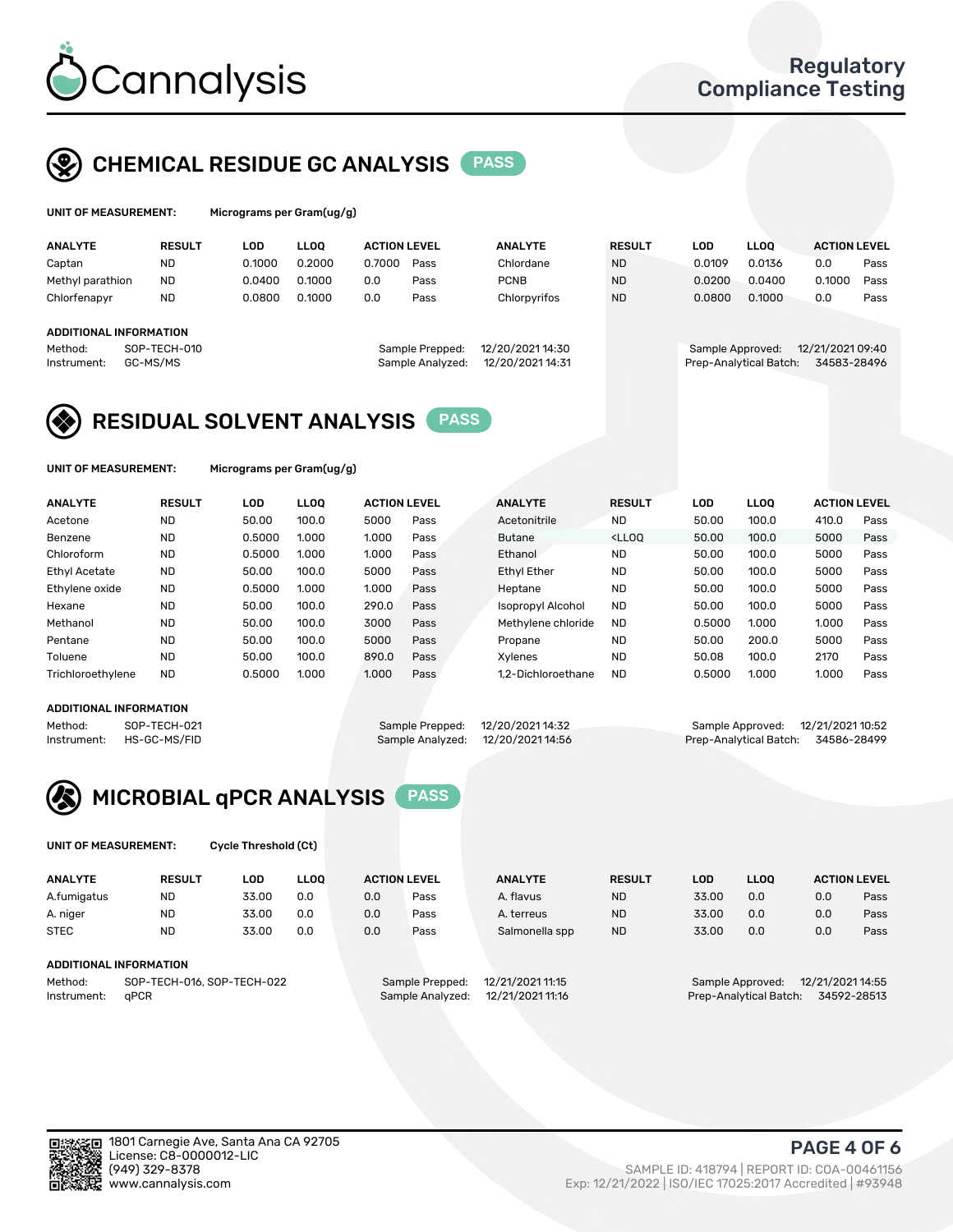

### CHEMICAL RESIDUE GC ANALYSIS PASS

ams per Gram(ug/g)

| <b>ANALYTE</b>                                   | <b>RESULT</b>            | LOD    | <b>LLOO</b> | <b>ACTION LEVEL</b> |                                     | <b>ANALYTE</b>                       | <b>RESULT</b> | LOD              | <b>LLOO</b>            | <b>ACTION LEVEL</b>             |      |
|--------------------------------------------------|--------------------------|--------|-------------|---------------------|-------------------------------------|--------------------------------------|---------------|------------------|------------------------|---------------------------------|------|
| Captan                                           | <b>ND</b>                | 0.1000 | 0.2000      | 0.7000              | Pass                                | Chlordane                            | <b>ND</b>     | 0.0109           | 0.0136                 | 0.0                             | Pass |
| Methyl parathion                                 | <b>ND</b>                | 0.0400 | 0.1000      | 0.0                 | Pass                                | <b>PCNB</b>                          | <b>ND</b>     | 0.0200           | 0.0400                 | 0.1000                          | Pass |
| Chlorfenapyr                                     | <b>ND</b>                | 0.0800 | 0.1000      | 0.0                 | Pass                                | Chlorpyrifos                         | <b>ND</b>     | 0.0800           | 0.1000                 | 0.0                             | Pass |
| ADDITIONAL INFORMATION<br>Method:<br>Instrument: | SOP-TECH-010<br>GC-MS/MS |        |             |                     | Sample Prepped:<br>Sample Analyzed: | 12/20/2021 14:30<br>12/20/2021 14:31 |               | Sample Approved: | Prep-Analytical Batch: | 12/21/2021 09:40<br>34583-28496 |      |

### RESIDUAL SOLVENT ANALYSIS PASS

UNIT OF MEASUREMENT: Micrograms per Gram(ug/g)

| <b>ANALYTE</b>       | <b>RESULT</b> | LOD    | <b>LLOO</b> | <b>ACTION LEVEL</b> |      | <b>ANALYTE</b>           | <b>RESULT</b>                                                               | LOD    | <b>LLOO</b> | <b>ACTION LEVEL</b> |      |
|----------------------|---------------|--------|-------------|---------------------|------|--------------------------|-----------------------------------------------------------------------------|--------|-------------|---------------------|------|
| Acetone              | <b>ND</b>     | 50.00  | 100.0       | 5000                | Pass | Acetonitrile             | <b>ND</b>                                                                   | 50.00  | 100.0       | 410.0               | Pass |
| Benzene              | <b>ND</b>     | 0.5000 | 1.000       | 1.000               | Pass | <b>Butane</b>            | <lloo< td=""><td>50.00</td><td>100.0</td><td>5000</td><td>Pass</td></lloo<> | 50.00  | 100.0       | 5000                | Pass |
| Chloroform           | <b>ND</b>     | 0.5000 | 1.000       | 1.000               | Pass | Ethanol                  | <b>ND</b>                                                                   | 50.00  | 100.0       | 5000                | Pass |
| <b>Ethyl Acetate</b> | <b>ND</b>     | 50.00  | 100.0       | 5000                | Pass | <b>Ethyl Ether</b>       | <b>ND</b>                                                                   | 50.00  | 100.0       | 5000                | Pass |
| Ethylene oxide       | <b>ND</b>     | 0.5000 | 1.000       | 1.000               | Pass | Heptane                  | <b>ND</b>                                                                   | 50.00  | 100.0       | 5000                | Pass |
| Hexane               | <b>ND</b>     | 50.00  | 100.0       | 290.0               | Pass | <b>Isopropyl Alcohol</b> | <b>ND</b>                                                                   | 50.00  | 100.0       | 5000                | Pass |
| Methanol             | <b>ND</b>     | 50.00  | 100.0       | 3000                | Pass | Methylene chloride       | <b>ND</b>                                                                   | 0.5000 | 1.000       | 1.000               | Pass |
| Pentane              | <b>ND</b>     | 50.00  | 100.0       | 5000                | Pass | Propane                  | <b>ND</b>                                                                   | 50.00  | 200.0       | 5000                | Pass |
| Toluene              | <b>ND</b>     | 50.00  | 100.0       | 890.0               | Pass | Xvlenes                  | <b>ND</b>                                                                   | 50.08  | 100.0       | 2170                | Pass |
| Trichloroethylene    | <b>ND</b>     | 0.5000 | 1.000       | 1.000               | Pass | 1.2-Dichloroethane       | <b>ND</b>                                                                   | 0.5000 | 1.000       | 1.000               | Pass |

#### ADDITIONAL INFORMATION

|         | AUDITIONAL INFORMATION   |                                   |                                    |  |
|---------|--------------------------|-----------------------------------|------------------------------------|--|
| Method: | SOP-TECH-021             | Sample Prepped: 12/20/202114:32   | Sample Approved: 12/21/2021 10:52  |  |
|         | Instrument: HS-GC-MS/FID | Sample Analyzed: 12/20/2021 14:56 | Prep-Analytical Batch: 34586-28499 |  |



UNIT OF MEASUREMENT: Cycle Threshold (Ct)

| <b>ANALYTE</b>         | <b>RESULT</b>              | LOD   | <b>LLOO</b> |     | <b>ACTION LEVEL</b> | <b>ANALYTE</b>   | <b>RESULT</b> | LOD   | <b>LLOO</b>            |                  | <b>ACTION LEVEL</b> |
|------------------------|----------------------------|-------|-------------|-----|---------------------|------------------|---------------|-------|------------------------|------------------|---------------------|
| A.fumigatus            | ND                         | 33.00 | 0.0         | 0.0 | Pass                | A. flavus        | <b>ND</b>     | 33.00 | 0.0                    | 0.0              | Pass                |
| A. niger               | <b>ND</b>                  | 33.00 | 0.0         | 0.0 | Pass                | A. terreus       | <b>ND</b>     | 33.00 | 0.0                    | 0.0              | Pass                |
| <b>STEC</b>            | <b>ND</b>                  | 33.00 | 0.0         | 0.0 | Pass                | Salmonella spp   | <b>ND</b>     | 33.00 | 0.0                    | 0.0              | Pass                |
| ADDITIONAL INFORMATION |                            |       |             |     |                     |                  |               |       |                        |                  |                     |
| Method:                | SOP-TECH-016, SOP-TECH-022 |       |             |     | Sample Prepped:     | 12/21/2021 11:15 |               |       | Sample Approved:       | 12/21/2021 14:55 |                     |
| Instrument:            | aPCR                       |       |             |     | Sample Analyzed:    | 12/21/2021 11:16 |               |       | Prep-Analytical Batch: |                  | 34592-28513         |

(949) 329-8378 SAMPLE ID: 418794 | REPORT ID: COA-00461156 Exp: 12/21/2022 | ISO/IEC 17025:2017 Accredited | #93948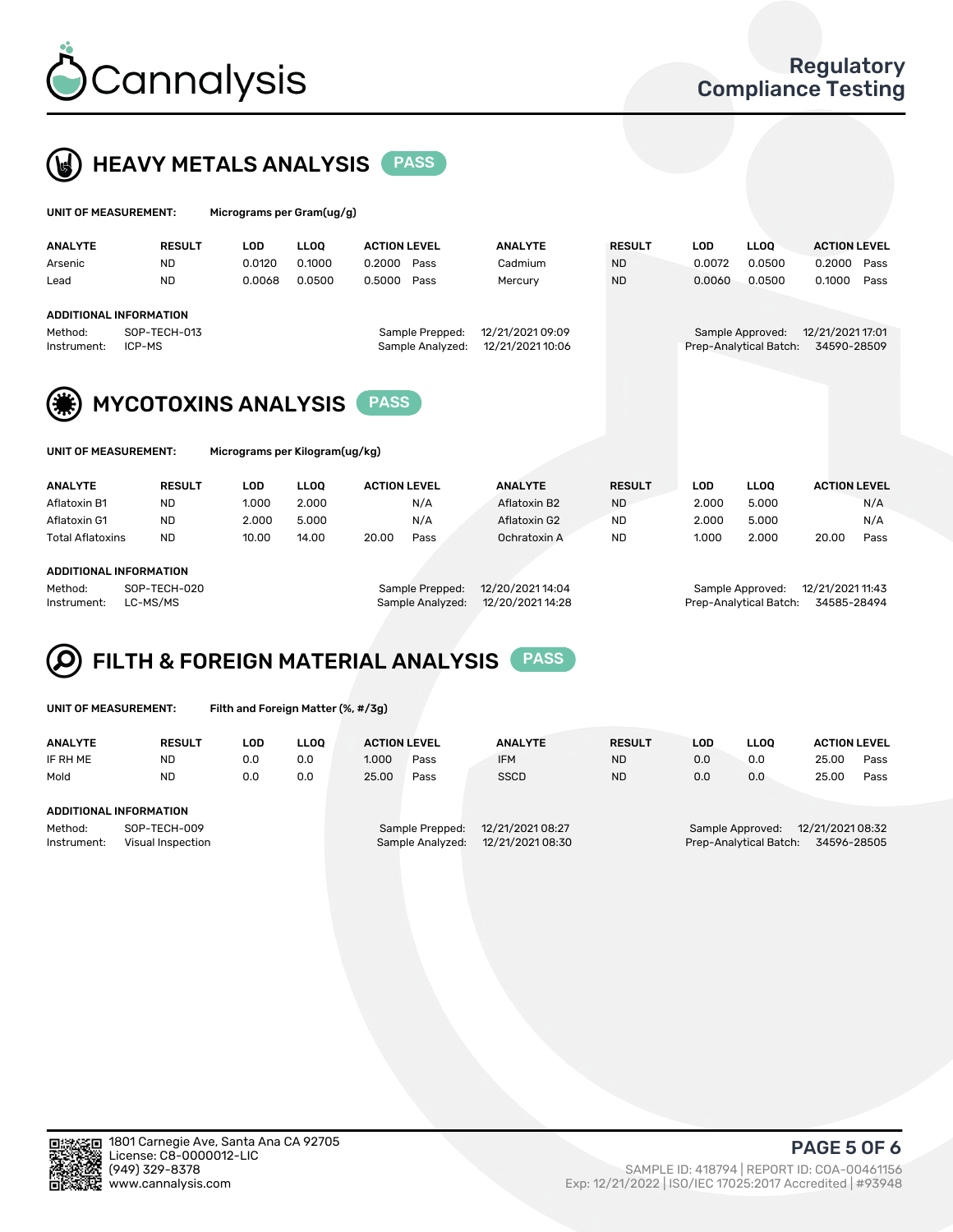



| UNIT OF MEASUREMENT:   |                        | Micrograms per Gram(ug/g) |             |                                     |                                      |               |            |                                            |                                 |      |
|------------------------|------------------------|---------------------------|-------------|-------------------------------------|--------------------------------------|---------------|------------|--------------------------------------------|---------------------------------|------|
| <b>ANALYTE</b>         | <b>RESULT</b>          | <b>LOD</b>                | <b>LLOO</b> | <b>ACTION LEVEL</b>                 | <b>ANALYTE</b>                       | <b>RESULT</b> | <b>LOD</b> | <b>LLOO</b>                                | <b>ACTION LEVEL</b>             |      |
| Arsenic                | <b>ND</b>              | 0.0120                    | 0.1000      | 0.2000<br>Pass                      | Cadmium                              | <b>ND</b>     | 0.0072     | 0.0500                                     | 0.2000                          | Pass |
| Lead                   | <b>ND</b>              | 0.0068                    | 0.0500      | 0.5000<br>Pass                      | Mercury                              | <b>ND</b>     | 0.0060     | 0.0500                                     | 0.1000                          | Pass |
|                        | ADDITIONAL INFORMATION |                           |             |                                     |                                      |               |            |                                            |                                 |      |
| Method:<br>Instrument: | SOP-TECH-013<br>ICP-MS |                           |             | Sample Prepped:<br>Sample Analyzed: | 12/21/2021 09:09<br>12/21/2021 10:06 |               |            | Sample Approved:<br>Prep-Analytical Batch: | 12/21/2021 17:01<br>34590-28509 |      |
|                        |                        |                           |             |                                     |                                      |               |            |                                            |                                 |      |





MYCOTOXINS ANALYSIS PASS

UNIT OF MEASUREMENT: Micrograms per Kilogram(ug/kg)

| <b>ANALYTE</b>          | <b>RESULT</b> | LOD   | <b>LLOO</b> | <b>ACTION LEVEL</b> |      | <b>ANALYTE</b> | <b>RESULT</b> | LOD   | <b>LLOO</b> | <b>ACTION LEVEL</b> |      |
|-------------------------|---------------|-------|-------------|---------------------|------|----------------|---------------|-------|-------------|---------------------|------|
| Aflatoxin B1            | <b>ND</b>     | 1.000 | 2.000       |                     | N/A  | Aflatoxin B2   | <b>ND</b>     | 2.000 | 5.000       |                     | N/A  |
| Aflatoxin G1            | <b>ND</b>     | 2.000 | 5.000       |                     | N/A  | Aflatoxin G2   | <b>ND</b>     | 2.000 | 5.000       |                     | N/A  |
| <b>Total Aflatoxins</b> | <b>ND</b>     | 10.00 | 14.00       | 20.00               | Pass | Ochratoxin A   | <b>ND</b>     | 1.000 | 2.000       | 20.00               | Pass |
|                         |               |       |             |                     |      |                |               |       |             |                     |      |

### ADDITIONAL INFORMATION

Method: SOP-TECH-020 Sample Prepped: 12/20/2021 14:04 Sample Approved: 12/21/2021 11:43 Instrument: LC-MS/MS Sample Analyzed: 12/20/2021 14:28 Prep-Analytical Batch: 34585-28494

# FILTH & FOREIGN MATERIAL ANALYSIS PASS

UNIT OF MEASUREMENT: Filth and Foreign Matter (%, #/3g)

| <b>ANALYTE</b>         | <b>RESULT</b>                     | LOD | <b>LLOO</b> | <b>ACTION LEVEL</b> |                                     | <b>ANALYTE</b>                       | <b>RESULT</b> | LOD | <b>LLOO</b>                                | <b>ACTION LEVEL</b>             |      |
|------------------------|-----------------------------------|-----|-------------|---------------------|-------------------------------------|--------------------------------------|---------------|-----|--------------------------------------------|---------------------------------|------|
| IF RH ME               | <b>ND</b>                         | 0.0 | 0.0         | 1.000               | Pass                                | <b>IFM</b>                           | <b>ND</b>     | 0.0 | 0.0                                        | 25.00                           | Pass |
| Mold                   | <b>ND</b>                         | 0.0 | 0.0         | 25.00               | Pass                                | <b>SSCD</b>                          | <b>ND</b>     | 0.0 | 0.0                                        | 25.00                           | Pass |
| ADDITIONAL INFORMATION |                                   |     |             |                     |                                     |                                      |               |     |                                            |                                 |      |
| Method:<br>Instrument: | SOP-TECH-009<br>Visual Inspection |     |             |                     | Sample Prepped:<br>Sample Analyzed: | 12/21/2021 08:27<br>12/21/2021 08:30 |               |     | Sample Approved:<br>Prep-Analytical Batch: | 12/21/2021 08:32<br>34596-28505 |      |



PAGE 5 OF 6